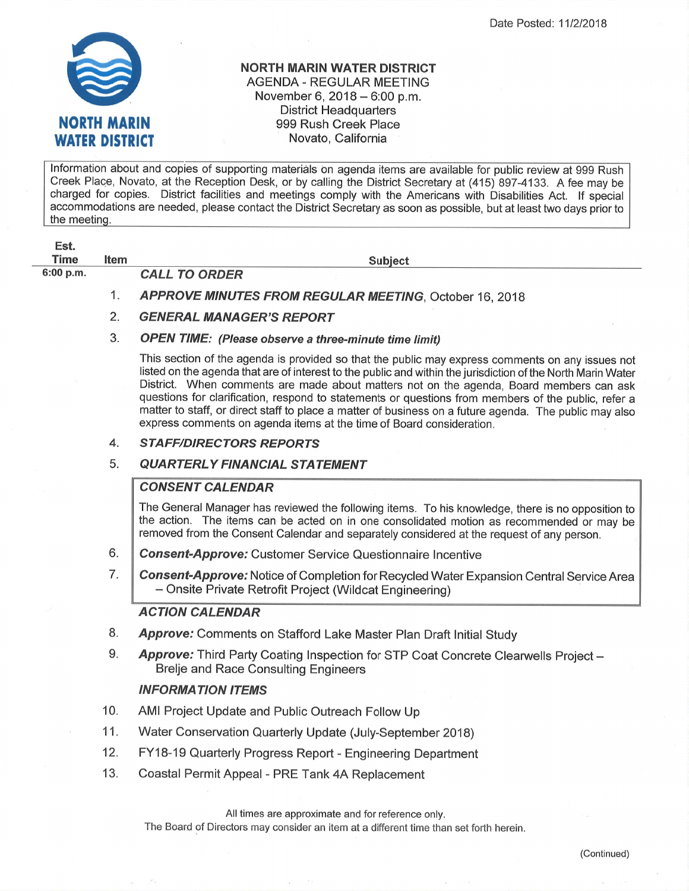

## NORTH MARIN WATER DISTRICT AGENDA - REGULAR MEETING November 6,  $2018 - 6:00$  p.m. District Headquarters 999 Rush Greek Place Novato, California

lnformation about and copies of supporting materiäls on agenda items are available for public review at 999 Rush Creek Place, Novato, at the Reception Desk, or by calling the District Secretary at (415) 897-4133. A fee may be charged for copies. District facilities and meetings comply with the Americans with Disabilities Act. lf special accommodations are needed, please contact the District Secretary as soon as possible, but at least two days prior to the meeting.

| Est.        |      |                                                                                                                                                                                                                                                                                                                                                                                                                                                                                                                                                                                                      |
|-------------|------|------------------------------------------------------------------------------------------------------------------------------------------------------------------------------------------------------------------------------------------------------------------------------------------------------------------------------------------------------------------------------------------------------------------------------------------------------------------------------------------------------------------------------------------------------------------------------------------------------|
| <b>Time</b> | ltem | <b>Subject</b>                                                                                                                                                                                                                                                                                                                                                                                                                                                                                                                                                                                       |
| 6:00 p.m.   |      | <b>CALL TO ORDER</b>                                                                                                                                                                                                                                                                                                                                                                                                                                                                                                                                                                                 |
|             | 1.   | <b>APPROVE MINUTES FROM REGULAR MEETING, October 16, 2018</b>                                                                                                                                                                                                                                                                                                                                                                                                                                                                                                                                        |
|             | 2.   | <b>GENERAL MANAGER'S REPORT</b>                                                                                                                                                                                                                                                                                                                                                                                                                                                                                                                                                                      |
|             | 3.   | <b>OPEN TIME:</b> (Please observe a three-minute time limit)                                                                                                                                                                                                                                                                                                                                                                                                                                                                                                                                         |
|             |      | This section of the agenda is provided so that the public may express comments on any issues not<br>listed on the agenda that are of interest to the public and within the jurisdiction of the North Marin Water<br>District. When comments are made about matters not on the agenda, Board members can ask<br>questions for clarification, respond to statements or questions from members of the public, refer a<br>matter to staff, or direct staff to place a matter of business on a future agenda. The public may also<br>express comments on agenda items at the time of Board consideration. |
|             | 4.   | <b>STAFF/DIRECTORS REPORTS</b>                                                                                                                                                                                                                                                                                                                                                                                                                                                                                                                                                                       |
|             | 5.   | <b>QUARTERLY FINANCIAL STATEMENT</b>                                                                                                                                                                                                                                                                                                                                                                                                                                                                                                                                                                 |
|             |      | <b>CONSENT CALENDAR</b>                                                                                                                                                                                                                                                                                                                                                                                                                                                                                                                                                                              |
|             |      | The General Manager has reviewed the following items. To his knowledge, there is no opposition to<br>the action. The items can be acted on in one consolidated motion as recommended or may be<br>removed from the Consent Calendar and separately considered at the request of any person.                                                                                                                                                                                                                                                                                                          |
|             | 6.   | <b>Consent-Approve:</b> Customer Service Questionnaire Incentive                                                                                                                                                                                                                                                                                                                                                                                                                                                                                                                                     |
|             |      |                                                                                                                                                                                                                                                                                                                                                                                                                                                                                                                                                                                                      |

Consent-Approve: Notice of Completion for Recycled Water Expansion Central Service Area - Onsite Private Retrofit Project (Wildcat Engineering) 7

## ACTION CALENDAR

- Approve: Comments on Stafford Lake Master Plan Draft Initial Study 8.
- Approve: Third Party Coating Inspection for STP Coat Concrete Clearwells Project -Brelje and Race Consulting Engineers 9.

## INFORMATION ITEMS

- AMI Project Update and Public Outreach Follow Up 10.
- Water Conservation Quarterly Update (July-September 2018) 11.
- FY18-19 Quarterly Progress Report Engineering Department 12.
- Coastal Permit Appeal PRE Tank 4A Replacement 13.

All times are approximate and for reference only.

The Board of Directors may consider an item at a different time than set forth herein